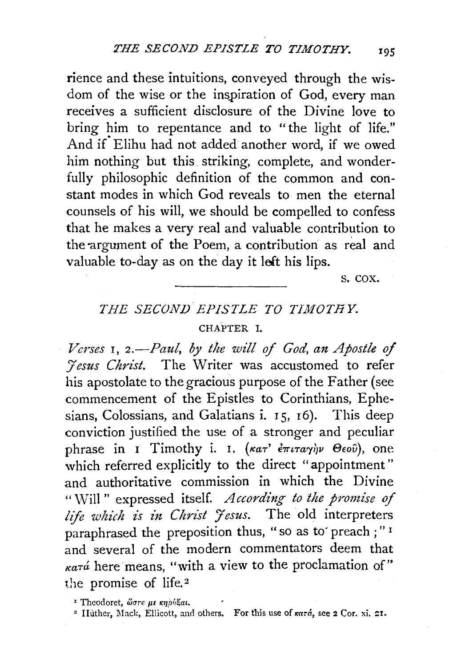rience and these intuitions, conveyed through the wisdom of the wise or the inspiration of God, every man receives a sufficient disclosure of the Divine love to bring him to repentance and to "the light of life." And if Elihu had not added another word, if we owed him nothing but this. striking, complete, and wonderfully philosophic definition of the common and constant modes in which God reveals to men the eternal counsels of his will, we should be compelled to confess that he makes a very real and valuable contribution to the argument of the Poem, a contribution as real and valuable to-day as on the day it left his lips.

s. cox.

## THE SECOND EPISTLE TO TIMOTHY. CHAPTER I.

*Verses* I, *2.-Paul, by the will* of *God, an Apostle of 'Yesus Christ.* The Writer was accustomed to refer his apostolate to the gracious purpose of the Father (see commencement of the Epistles to Corinthians, Ephesians, Colossians, and Galatians i.  $15, 16$ ). This deep conviction justified the use of a stronger and peculiar phrase in I Timothy i. I. (κατ' έπιταγήν Θεού), one which referred explicitly to the direct "appointment" and authoritative commission in which the Divine "vVill" expressed itself. *According to the promise of life which is in Christ Jesus.* The old interpreters paraphrased the preposition thus, "so as to preach : "1 and several of the modern commentators deem that  $\kappa a \tau a$  here means, "with a view to the proclamation of" the promise of life.<sup>2</sup>

<sup>1</sup> Theodoret, ώστε με κηρύξαι.

<sup>&</sup>lt;sup>2</sup> Huther, Mack, Ellicott, and others. For this use of  $\kappa a \tau \dot{a}$ , see 2 Cor. xi. 21.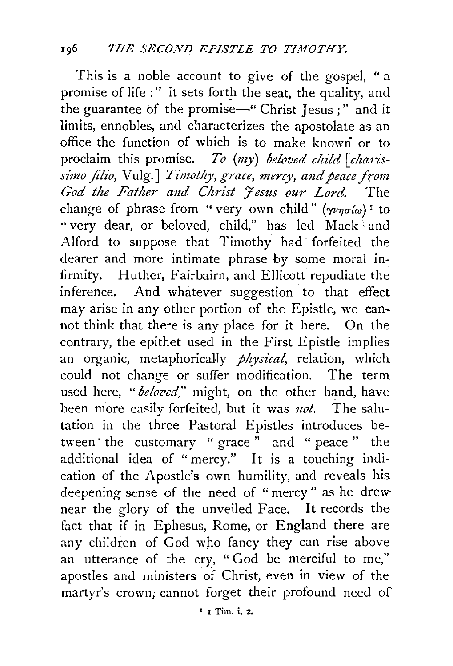This is a noble account to give of the gospel, " a promise of life :" it sets forth the seat, the quality, and the guarantee of the promise—" Christ Jesus ;" and it limits, ennobles, and characterizes the apostolate as an office the function of which is to make knowri or to proclaim this promise. *To* (my) *beloved child [charissimo filio, Vulg.] Timothy, grace, mercy, and peace from* God the Father and Christ Jesus our Lord. The change of phrase from "very own child"  $(\gamma \nu \eta \sigma/\omega)^T$  to "very dear, or beloved, child," has led Mack and Alford to suppose that Timothy had· forfeited the dearer and more intimate phrase by some moral infirmity. Huthcr, Fairbairn, and Ellicott repudiate the inference. And whatever suggestion to that effect may arise in any other portion of the Epistle, we cannot think that there is any place for it here. On the contrary, the epithet used in the First Epistle implies an organic, metaphoricaily *physical,* relation, which could not change or suffer modification. The term used here, *"beloved,"* might, on the other hand, have been more easily forfeited, but it was *not*. The salutation in the three Pastoral Epistles introduces between the customary " grace " and " peace " the additional idea of "mercy." It is a touching indication of the Apostle's own humility, and reveals his deepening sense of the need of "mercy " as he drew· near the glory of the unveiled Face. It records the fact that if in Ephesus, Rome, or England there are any children of God who fancy they can rise above an utterance of the cry, " God be merciful to me," apostles and ministers of Christ, even in view of the martyr's crown, cannot forget their profound need of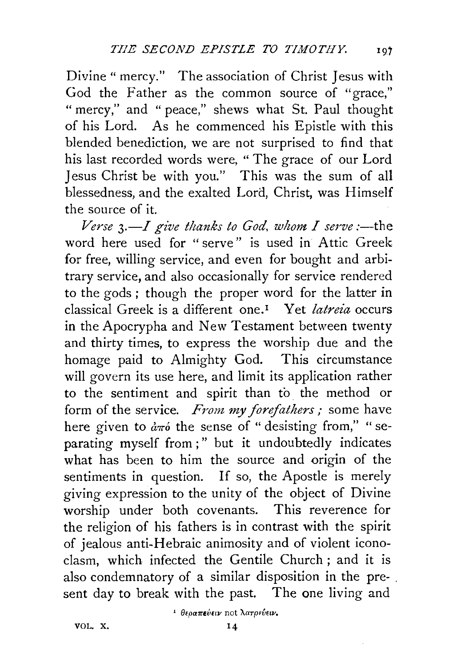Divine" mercy." The association of Christ Jesus with God the Father as the common source of "grace," "mercy," and "peace," shews what St. Paul thought of his Lord. As he commenced his Epistle with this blended benediction, we are not surprised to find that his last recorded words were, " The grace of our Lord Jesus Christ be with you." This was the sum of all blessedness, and the exalted Lord, Christ, was Himself the source of it.

 $Verse$   $3$ .—I give thanks to God, whom I serve :—the word here used for "serve" is used in Attic Greek for free, willing service, and even for bought and arbitrary service, and also occasionally for service rendered to the gods ; though the proper word for the latter in classical Greek is a different one. 1 Yet *latreia* occurs in the Apocrypha and New Testament between twenty and thirty times, to express the worship due and the homage paid to Almighty God. This circumstance will govern its use here, and limit its application rather to the sentiment and spirit than to. the method or form of the service. *From my forefathers;* some have here given to  $d\pi\acute{o}$  the sense of "desisting from," "separating myself from;" but it undoubtedly indicates what has been to him the source and origin of the sentiments in question. If so, the Apostle is merely giving expression to the unity of the object of Divine worship under both covenants. This reverence for the religion of his fathers is in contrast with the spirit of jealous anti-Hebraic animosity and of violent iconoclasm, which infected the Gentile Church; and it is also condemnatory of a similar disposition in the pre- . sent day to break with the past. The one living and

VOL. X.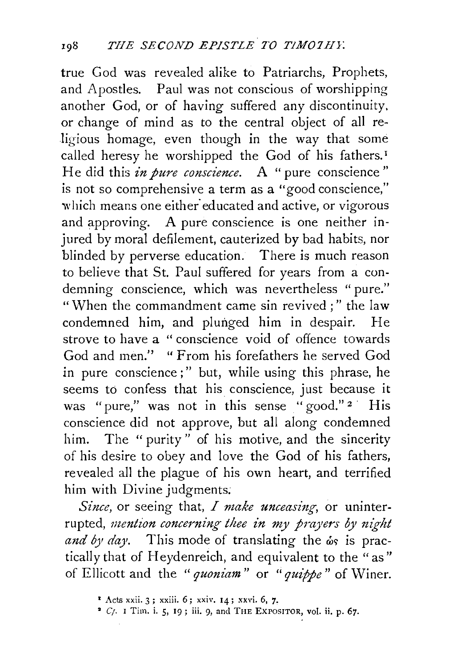true God was revealed alike to Patriarchs, Prophets, and Apostles. Paul was not conscious of worshipping another God, or of having suffered any discontinuity. or change of mind as to the central object of all religious homage, even though in the way that some called heresy he worshipped the God of his fathers.<sup>1</sup> He did this *in pure conscience*. A "pure conscience" is not so comprehensive a term as a "good conscience," which means one either educated and active, or vigorous and approving. A pure conscience is one neither injured by moral defilement, cauterized by bad habits, nor blinded by perverse education. There is much reason to believe that St. Paul suffered for years from a condemning conscience, which was nevertheless "pure." "When the commandment came sin revived;" the law condemned him, and plunged him in despair. He strove to have a " conscience void of offence towards God and men." "From his forefathers he served God in pure conscience;" but, while using this phrase, he seems to confess that his conscience, just because it was "pure," was not in this sense "good."<sup>2</sup> His conscience did not approve, but all along condemned him. The " purity" of his motive, and the sincerity of his desire to obey and love the God of his fathers, revealed all the plague of his own heart, and terrified him with Divine judgments.

*Since*, or seeing that, *I make unceasing*, or uninterrupted, *mention concerning thee in my prayers by night* and by day. This mode of translating the  $\omega_s$  is practically that of Heydenreich, and equivalent to the "as" of Ellicott and the "*quoniam*" or "*quippe*" of Winer.

<sup>\*</sup> Acts xxii. 3; xxiii. 6; xxiv. 14; xxvi. 6, 7.

 $^2$  Cf. I Tim. i. 5, 19; iii. 9, and THE EXPOSITOR, vol. ii. p. 67.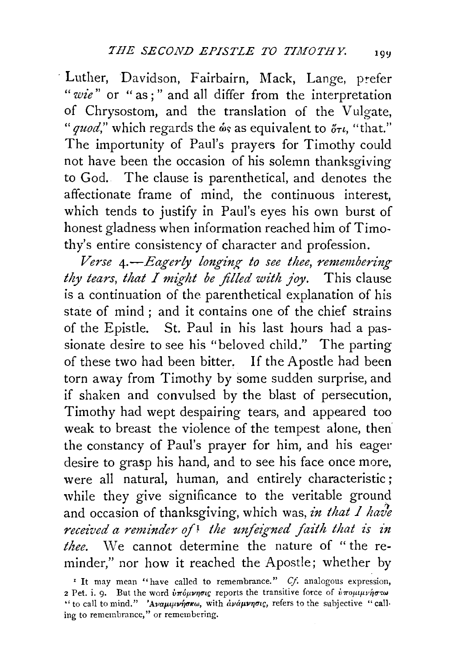· Luther, Davidson, Fairbairn, Mack, Lange, prefer *"wie"* or " as ; " and all differ from the interpretation of Chrysostom, and the translation of the Vulgate, *"quod,*" which regards the  $\dot{\omega}$ s as equivalent to  $\ddot{\sigma}$ <sup>rt</sup>, "that." The importunity of Paul's prayers for Timothy could not have been the occasion of his solemn thanksgiving to God. The clause is parenthetical, and denotes the affectionate frame of mind, the continuous interest, which tends to justify in Paul's eyes his own burst of honest gladness when information reached him of Timothy's entire consistency of character and profession.

*Verse 4.* - Eagerly longing to see thee, remembering *thy tears, that I might be filled with joy.* This clause is a continuation of the parenthetical explanation of his state of mind ; and it contains one of the chief strains of the Epistle. St. Paul in his last hours had a passionate desire to see his "beloved child." The parting of these two had been bitter. If the Apostle had been torn away from Timothy by some sudden surprise, and if shaken and convulsed by the blast of persecution, Timothy had wept despairing tears, and appeared too weak to breast the violence of the tempest alone, then the constancy of Paul's prayer for him, and his eager desire to grasp his hand, and to see his face once more, were all natural, human, and entirely characteristic ; while they give significance to the veritable ground and occasion of thanksgiving, which was, in that *I have received a reminder of*<sup>1</sup> the unfeigned faith that is in *thee.* We cannot determine the nature of " the reminder," nor how it reached the Apostle; whether by

<sup>&</sup>lt;sup>1</sup> It may mean "have called to remembrance." *Cf.* analogous expression, 2 Pet. i. 9. But the word  $\dot{v}$  roports the transitive force of  $\dot{v}$  ropuluvious " to call to mind." 'Αναμινήσκω, with ανάμνησις, refers to the subjective "calling to remembrance," or remembering.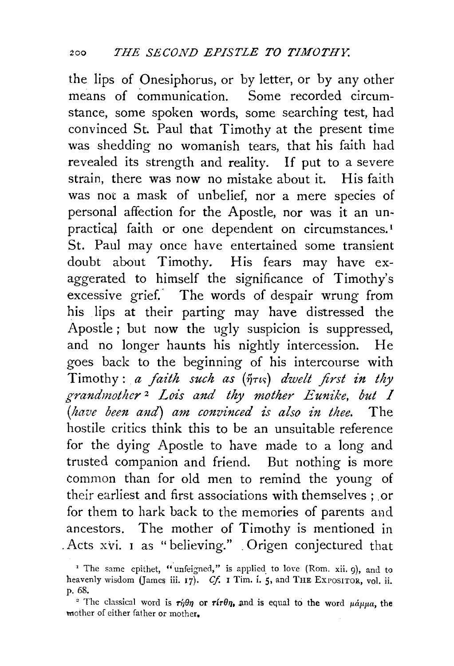the lips of Onesiphorus, or by letter, or by any other means of communication. Some recorded circumstance, some spoken words, some searching test, had convinced St. Paul that Timothy at the present time was shedding no womanish tears, that his faith had revealed its strength and reality. If put to a severe strain, there was now no mistake about it. His faith was not a mask of unbelief, nor a mere species of personal affection for the Apostle, nor was it an unpractical faith or one dependent on circumstances.<sup>1</sup> St. Paul may once have entertained some transient doubt about Timothy. His fears may have exaggerated to himself the significance of Timothy's excessive grief.' The words of despair wrung from his lips at their parting may have distressed the Apostle ; but now the ugly suspicion is suppressed, and no longer haunts his nightly intercession. He goes back to the beginning of his intercourse with Timothy: *a faith such as* ( $\tilde{\eta}$ <sup>ris</sup>) *dwelt first in thy grandmother* 2 *Lois and thy mother Eunike, but 1 (have been and) am convinced is also in thee.* The hostile critics think this to be an unsuitable reference for the dying Apostle to have made to a long and trusted companion and friend. But nothing is more common than for old men to remind the young of their earliest and first associations with themselves ; or for them to hark back to the memories of parents and ancestors. The mother of Timothy is mentioned in . Acts xvi. 1 as "believing." . Origen conjectured that

<sup>&</sup>lt;sup>1</sup> The same epithet, "unfeigned," is applied to love (Rom. xii. 9), and to heavenly wisdom (James iii. 17). *Cf.* 1 Tim. i. 5, and THE EXPOSITOR, vol. ii. p. 68.

<sup>&</sup>lt;sup>2</sup> The classical word is  $\tau_i \theta \eta$  or  $\tau_i \theta \eta$ , and is equal to the word  $\mu \dot{\alpha} \mu \mu a$ , the tnother of either father or mother,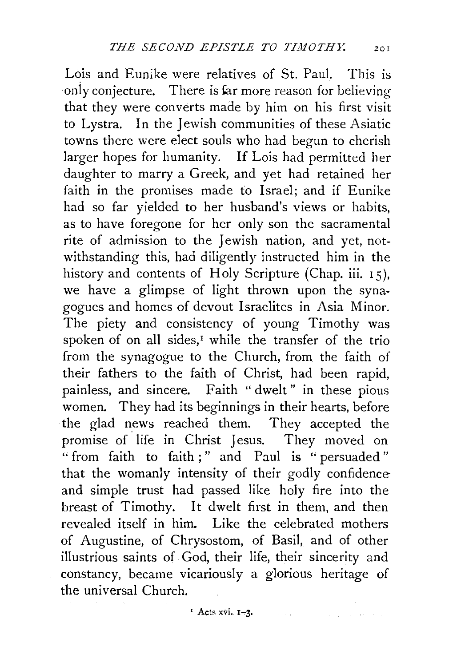Lois and Eunike were relatives of St. Paul. This is only conjecture. There is far more reason for believing that they were converts made by him on his first visit to Lystra. In the Jewish communities of these Asiatic towns there were elect souls who had begun to cherish larger hopes for humanity. If Lois had permitted her daughter to marry a Greek, and yet had retained her faith in the promises made to Israel; and if Eunike had so far yielded to her husband's views or habits, as to have foregone for her only son the sacramental rite of admission to the Jewish nation, and yet, notwithstanding this, had diligently instructed him in the history and contents of Holy Scripture (Chap. iii. 15), we have a glimpse of light thrown upon the synagogues and homes of devout Israelites in Asia Minor. The piety and consistency of young Timothy was spoken of on all sides,<sup> $I$ </sup> while the transfer of the trio from the synagogue to the Church, from the faith of their fathers to the faith of Christ, had been rapid, painless, and sincere. Faith "dwelt" in these pious women. They had its beginnings in their hearts, before the glad news reached them. They accepted the promise of life in Christ Jesus. They moved on " from faith to faith ; " and Paul is " persuaded" that the womanly intensity of their godly confidence and simple trust had passed like holy fire into the breast of Timothy. It dwelt first in them, and then revealed itself in him. Like the celebrated mothers of Augustine, of Chrysostom, of Basil, and of other illustrious saints of God, their life, their sincerity and constancy, became vicariously a glorious heritage of the universal Church.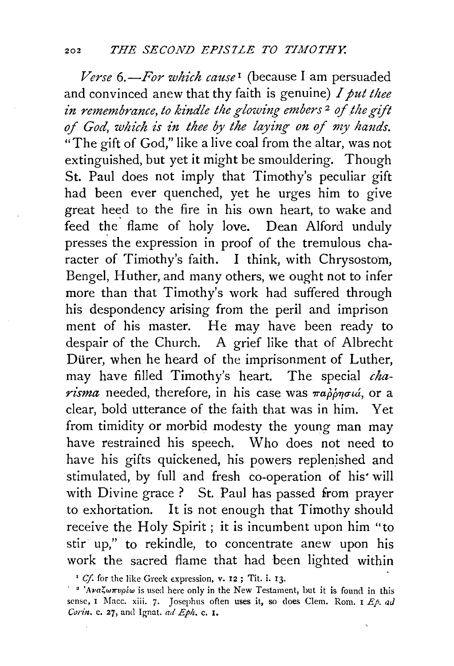*Verse 6.-For which cause* 1 (because I am persuaded and convinced anew that thy faith is genuine) *I put thee in remembrance, to kindle the glowing embers<sup>2</sup> of the gift* of God, which is in thee by the laying on of my hands. "The gift of God," like a live coal from the altar, was not extinguished, but yet it might be smouldering. Though St. Paul does not imply that Timothy's peculiar gift had been ever quenched, yet he urges him to give great heed to the fire in his own heart, to wake and feed the flame of holy love. Dean Alford unduly presses the expression in proof of the tremulous character of Timothy's faith. I think, with Chrysostom, Bengel, Huther, and many others, we ought not to infer more than that Timothy's work had suffered through his despondency arising from the peril and imprison ment of his master. He may have been ready to despair of the Church. A grief like that of Albrecht Dürer, when he heard of the imprisonment of Luther, may have filled Timothy's heart. The special *cha* $r_{\textit{isma}}$  needed, therefore, in his case was  $\pi a \phi \phi \eta \sigma u$ , or a clear, bold utterance of the faith that was in him. Yet from timidity or morbid modesty the young man may have restrained his speech. Who does not need to have his gifts quickened, his powers replenished and stimulated, by full and fresh co-operation of his• will with Divine grace ? St. Paul has passed from prayer to exhortation. It is not enough that Timothy should receive the Holy Spirit; it is incumbent upon him "to stir up," to rekindle, to concentrate anew upon his work the sacred flame that had been lighted within

<sup>&</sup>lt;sup>I</sup> Cf. for the like Greek expression, v. 12; Tit. i. 13.

<sup>&</sup>lt;sup>2</sup> <sup>2</sup> 'Ava $\zeta \omega \pi \nu \rho \epsilon \omega$  is used here only in the New Testament, but it is found in this sense, I Macc. xiii. 7. Josephus often uses it, so does Clem. Rom. I *Ep. ad Corin.* c. 27, and Ignat. *ad Eph.* c. I.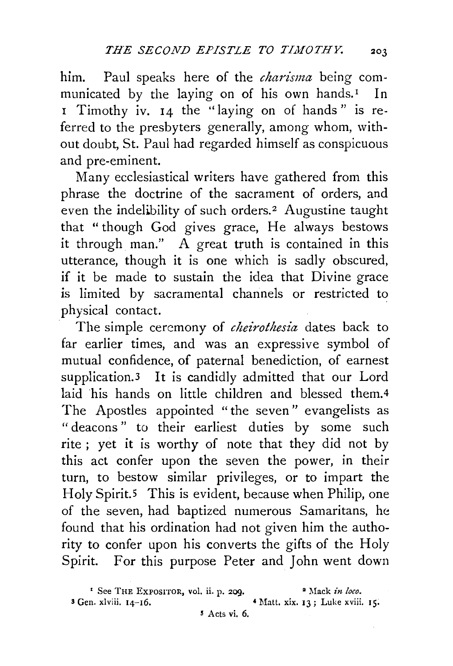him. Paul speaks here of the *charisma* being communicated by the laying on of his own hands.<sup>1</sup> In 1 Timothy iv. 14 the "laying on of hands" is referred to the presbyters generally, among whom, without doubt, St. Paul had regarded himself as conspicuous and pre-eminent.

Many ecclesiastical writers have gathered from this phrase the doctrine of the sacrament of orders, and even the indelibility of such orders.<sup>2</sup> Augustine taught that "though God gives grace, He always bestows it through man." A great truth is contained in this utterance, though it is one which is sadly obscured, if it be made to sustain the idea that Divine grace is limited by sacramental channels or restricted to physical contact.

The simple ceremony of *cheirothesia* dates back to far earlier times, and was an expressive symbol of mutual confidence, of paternal benediction, of earnest supplication.3 It is candidly admitted that our Lord laid his hands on little children and blessed them.4 The Apostles appointed "the seven" evangelists as " deacons" to their earliest duties by some such rite ; yet it is worthy of note that they did not by this act confer upon the seven the power, in their turn, to bestow similar privileges, or to impart the Holy Spirit.<sup>5</sup> This is evident, because when Philip, one of the seven, had baptized numerous Samaritans, he found that his ordination had not given him the authority to confer upon his converts the gifts of the Holy Spirit. For this purpose Peter and John went down

<sup>&</sup>lt;sup>1</sup> See THE EXPOSITOR, vol. ii. p. 209. <sup>•</sup> Mack *in loco*.  $3$  Gen. xlviii.  $14-16$ .  $4$  Matt, xix.  $13$ ; Luke xviii. 15.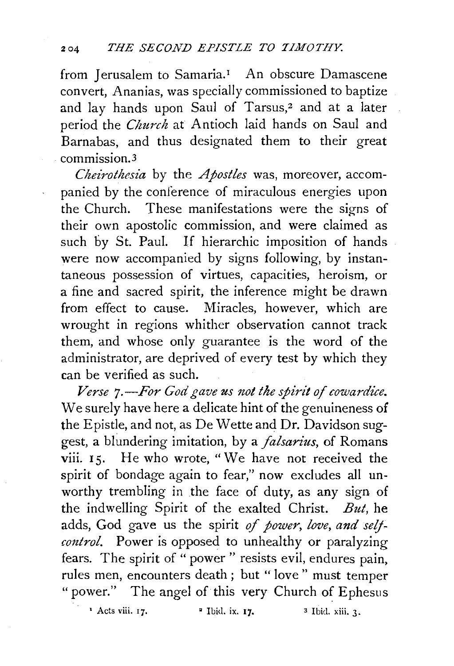from Jerusalem to Samaria.<sup>1</sup> An obscure Damascene convert, Ananias, was specially commissioned to baptize and lay hands upon Saul of Tarsus,<sup>2</sup> and at a later period the *Church* at Antioch laid hands on Saul and Barnabas, and thus designated them to their great commission.3

*Cheirothesia* by the *Apostles* was, moreover, accompanied by the conference of miraculous energies upon the Church. These manifestations were the signs of their own apostolic commission, and were claimed as such by St. Paul. If hierarchic imposition of hands were now accompanied by signs following, by instantaneous possession of virtues, capacities, heroism, or a fine and sacred spirit, the inference might be drawn from effect to cause. Miracles, however, which are wrought in regions whither observation cannot track them, and whose only guarantee is the word of the administrator, are deprived of every test by which they can be verified as such.

*Verse 7.-For God gave us not the spirit of cowardice.*  We surely have here a delicate hint of the genuineness of the Epistle, and not, as De Wette and Dr. Davidson suggest, a blundering imitation, by a *falsarius*, of Romans viii. 15. He who wrote, "We have not received the spirit of bondage again to fear," now excludes all unworthy trembling in the face of duty, as any sign of the indwelling Spirit of the exalted Christ. *But,* he adds, God gave us the spirit of power, love, and self*control.* Power is opposed to unhealthy or paralyzing fears. The spirit of " power " resists evil, endures pain, rules men, encounters death; but "love" must temper "power." The angel of this very Church of Ephesus

<sup>1</sup> Acts viii.  $17.$  <sup>2</sup> Ibid. ix.  $17.$  <sup>3</sup> Ibid. xiii. 3.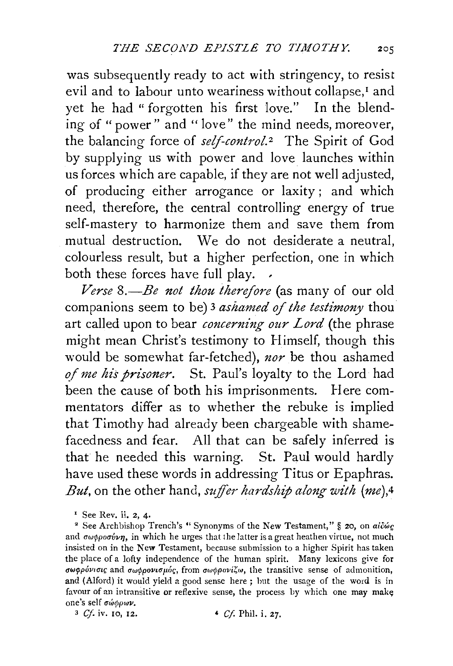was subsequently ready to act with stringency, to resist evil and to labour unto weariness without collapse,<sup>1</sup> and yet he had "forgotten his first love." In the blending of " power" and " love" the mind needs, moreover, the balancing force of *self-control*.<sup>2</sup> The Spirit of God by supplying us with power and love launches within us forces which are capable, if they are not well adjusted, of producing either arrogance or laxity; and which need, therefore, the central controlling energy of true self-mastery to harmonize them and save them from mutual destruction. We do not desiderate a neutral, colourless result, but a higher perfection, one in which both these forces have full play. .

*Verse 8.-Be not thou therefore* (as many of our old companions seem to be) 3 *ashamed of the testimony* thou art called upon to bear *concerning our Lord* (the phrase might mean Christ's testimony to Himself, though this would be somewhat far-fetched), *nor* be thou ashamed *of me his prisoner.* St. Paul's loyalty to the Lord had been the cause of both his imprisonments. Here commentators differ as to whether the rebuke is implied that Timothy had already been chargeable with shame~ facedness and fear. All that can be safely inferred is that he needed this warning. St. Paul would hardly have used these words in addressing Titus or Epaphras. *But*, on the other hand, *suffer hardship along with* (me),<sup>4</sup>

<sup>&</sup>lt;sup>1</sup> See Rev. ii. 2, 4.

<sup>&</sup>lt;sup>2</sup> See Archbishop Trench's " Synonyms of the New Testament," § 20, on  $ai\tilde{c}\omega_{\mathcal{S}}$ and  $\sigma \omega \phi \rho \sigma \sigma \psi \gamma$ , in which he urges that the latter is a great heathen virtue, not much insisted on in the New Testament, because submission to a higher Spirit has taken the place of a lofty independence of the human spirit. Many lexicons give for σωφρόνισις and σωφρονισμός, from σωφρονίζω, the transitive sense of admonition, and (Alford) it would yield a good sense here ; but the usage of the word is in favour of an intransitive or reflexive sense, the process by which one may make; one's self σώφρων.

<sup>3</sup> *Cf.* iv. 10, 12. ' *Cf.* Phi!. i. 27.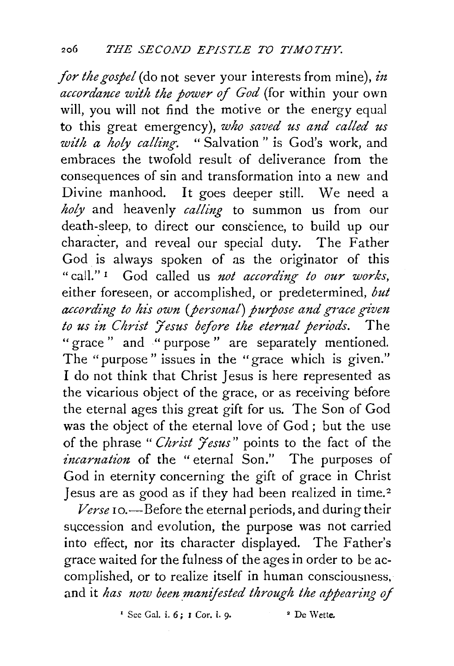*for the gospel* (do not sever your interests from mine), *in accordance with the power of God* (for within your own will, you will not find the motive or the energy equal to this great emergency), *who saved us and called us with a holy calling.* " Salvation " is God's work, and embraces the twofold result of deliverance from the consequences of sin and transformation into a new and Divine manhood. It goes deeper still. We need a *holy* and heavenly *calling* to summon us from our death-sleep, to direct our conscience, to build up our character, and reveal our special duty. The Father God is always spoken of as the originator of this "call." 1 God called us *not according to our works,*  either foreseen, or accomplished, or predetermined, *but according to his own (personal) purpose and grace given*  to us in Christ *Jesus before the eternal periods*. The "grace" and "purpose" are separately mentioned. The "purpose" issues in the "grace which is given." I do not think that Christ Jesus is here represented as the vicarious object of the grace, or as receiving before the eternal ages this great gift for us. The Son of God was the object of the eternal love of God ; but the use of the phrase "Christ Jesus" points to the fact of the *incarnation* of the " eternal Son." The purposes of God in eternity concerning the gift of grace in Christ Jesus are as good as if they had been realized in time. 2

Verse 10.—Before the eternal periods, and during their succession and evolution, the purpose was not carried into effect, nor its character displayed. The Father's grace waited for the fulness of the ages in order to be accomplished, or to realize itself in human consciousness. and it *has now been manifested through the appearing of* 

 $\cdot$  See Gal. i. 6: I Cor. i. 9.  $\cdot$  Pe Wette.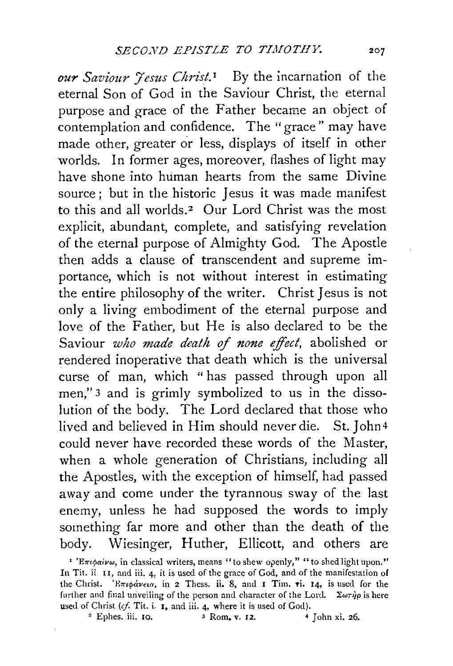*our Saviour Jesus Christ.I* By the incarnation of the eternal Son of God in the Saviour Christ, the eternal purpose and grace of the Father became an object of contemplation and confidence. The "grace" may have made other, greater or less, displays of itself in other worlds. In former ages, moreover, flashes of light may have shone into human hearts from the same Divine source; but in the historic Jesus it was made manifest to this and all worlds.<sup>2</sup> Our Lord Christ was the most explicit, abundant, complete, and satisfying revelation of the eternal purpose of Almighty God. The Apostle then adds a clause of transcendent and supreme importance, which is not without interest in estimating the entire philosophy of the writer. Christ Jesus is not only a living embodiment of the eternal purpose and love of the Father, but He is also declared to be the Saviour *who made death* of *none effect,* abolished or rendered inoperative that death which is the universal curse of man, which " has passed through upon all men," 3 and is grimly symbolized to us in the dissolution of the body. The Lord declared that those who lived and believed in Him should never die. St. John4 could never have recorded these words of the Master, when a whole generation of Christians, including all the Apostles, with the exception of himself, had passed away and come under the tyrannous sway of the last enemy, unless he had supposed the words to imply something far more and other than the death of the body. Wiesinger, Huther, Ellicott, and others are

<sup>&</sup>lt;sup>1</sup> 'Επιφαίνω, in classical writers, means "to shew openly," "to shed light upon." In Tit. ii. 11, and iii. 4, it is used of the grace of God, and of the manifestation of the Christ. 'E $\pi\iota\phi$ *aveia*, in 2 Thess. ii. 8, and 1 Tim. vi. 14, is used for the further and final unveiling of the person and character of the Lord. *'Zwrip* is here used of Christ (cf. Tit. i. I, and iii. 4, where it is used of God).<br><sup>2</sup> Ephes. iii. 10. <sup>3</sup> Rom, v. 12. <sup>4</sup> John xi. 26.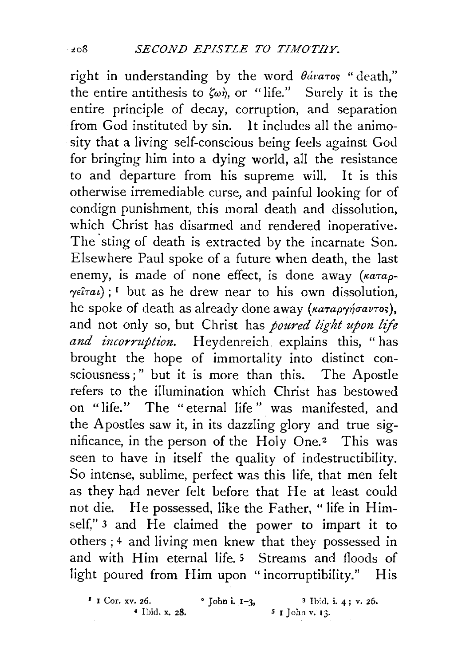right in understanding by the word  $\theta$ ávaros "death," the entire antithesis to  $\zeta_{\omega\eta}$ , or "life." Surely it is the entire principle of decay, corruption, and separation from God instituted by sin. It includes all the animosity that a living self-conscious being feels against God for bringing him into a dying world, all the resistance to and departure from his supreme will. It is this otherwise irremediable curse, and painful looking for of condign punishment, this moral death and dissolution, which Christ has disarmed and rendered inoperative. The sting of death is extracted by the incarnate Son. Elsewhere Paul spoke of a future when death, the last enemy, is made of none effect, is done away *(Karap-* $\gamma e i\tau a\iota$ ; <sup>1</sup> but as he drew near to his own dissolution, he spoke of death as already done away ( $\kappa a \tau a \rho \gamma \gamma \sigma a \nu \tau o s$ ), and not only so, but Christ has *poured light upon life and incorruption.* Heydenreich explains this, "has brought the hope of immortality into distinct consciousness;" but it is more than this. The Apostle refers to the illumination which Christ has bestowed on "life." The " eternal life " was manifested, and the Apostles saw it, in its dazzling glory and true significance, in the person of the  $Holy$  One.<sup>2</sup> This was seen to have in itself the quality of indestructibility. So intense, sublime, perfect was this life, that men felt as they had never felt before that He at least could not die. He possessed, like the Father, "life in Himself." 3 and He claimed the power to impart it to others ; 4 and living men knew that they possessed in and with Him eternal life. 5 Streams and floods of light poured from **Him** upon "incorruptibility." His

 $\begin{array}{lll} \text{if } \text{Cor. xv. 26.} & \text{if } \text{John i. I-3,} \\ & \text{if } \text{I} \text{ohn } x. \text{ } 28. & \text{if } \text{John } y. 13. \end{array}$ *4* Ibid. x. 28. *S* I John v. IJ.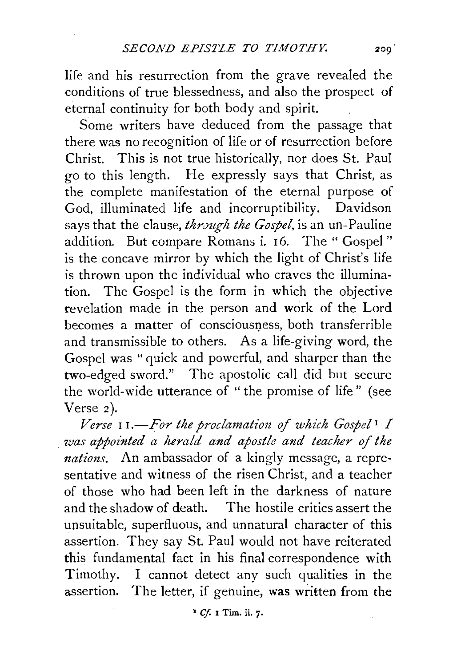life and his resurrection from the grave revealed the conditions of true blessedness, and also the prospect of eternal continuity for both body and spirit.

Some writers have deduced from the passage that there was no recognition of life or of resurrection before Christ. This is not true historically, nor does St. Paul go to this length. He expressly says that Christ, as the complete manifestation of the eternal purpose of God, illuminated life and incorruptibility. Davidson says that the clause, *through the Gospel*, is an un-Pauline addition. But compare Romans i. 16. The "Gospel" is the concave mirror by which the light of Christ's life is thrown upon the individual who craves the illumination. The Gospel is the form in which the objective revelation made in the person and work of the Lord becomes a matter of consciousness, both transferrible and transmissible to others. As a life-giving word, the Gospel was " quick and powerful, and sharper than the two-edged sword." The apostolic call did but secure the world-wide utterance of "the promise of life" (see Verse 2).

*Verse* 11.-*For the proclamation of which Gospel*<sup>1</sup> *I was appointed a herald and apostle and teacher of the nations.* An ambassador of a kingly message, a representative and witness of the risen Christ, and a teacher of those who had been left in the darkness of nature and the shadow of death. The hostile critics assert the unsuitable, superfluous, and unnatural character of this assertion. They say St. Paul would not have reiterated this fundamental fact in his final correspondence with Timothy. I cannot detect any such qualities in the assertion. The letter, if genuine, was written from the

• *Cf.* I Tim. ii. 7·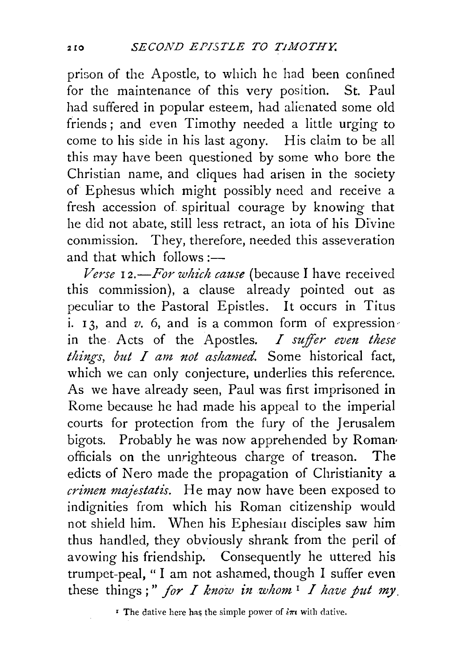prison of the Apostle, to which he had been confined for the maintenance of this very position. St. Paul had suffered in popular esteem, had alienated some old friends ; and even Timothy needed a little urging to come to his side in his last agony. His claim to be all this may have been questioned by some who bore the Christian name, and cliques had arisen in the society of Ephesus which might possibly need and receive a fresh accession of spiritual courage by knowing that he did not abate, still less retract, an iota of his Divine commission. They, therefore, needed this asseveration and that which follows : $-$ 

*Verse* I *2.-For which cause* (because I have received this commission), a clause already pointed out as peculiar to the Pastoral Epistles. It occurs in Titus i. 13, and  $v$ . 6, and is a common form of expression in the Acts of the Apostles. *I suffer even these things, but I am not ashamed.* Some historical fact, which we can only conjecture, underlies this reference. As we have already seen, Paul was first imprisoned in Rome because he had made his appeal to the imperial courts for protection from the fury of the Jerusalem bigots. Probably he was now apprehended by Roman, officials on the unrighteous charge of treason. The edicts of Nero made the propagation of Christianity a *crimen majestatis.* He may now have been exposed to indignities from which his Roman citizenship would not shield him. When his Ephesian disciples saw him thus handled, they obviously shrank from the peril of avowing his friendship. Consequently he uttered his trumpet-peal, " I am not ashamed, though I suffer even these things;" for *I know in whom*  $\frac{1}{\pi}$  *I have put my.* 

<sup>*r*</sup> The dative here has the simple power of  $i\pi i$  with dative.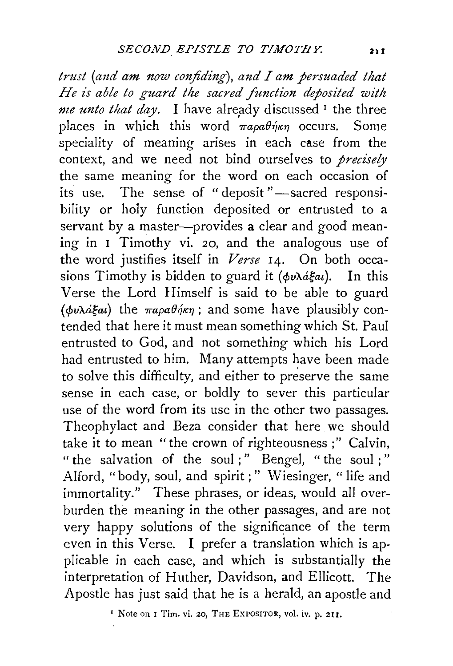*trust (and am now confiding), and I am persuaded that He is able to guard the sacred function deposited with me unto that day*. I have already discussed <sup>1</sup> the three places in which this word  $\pi a \rho a \theta \eta \kappa \eta$  occurs. Some speciality of meaning arises in each case from the context, and we need not bind ourselves to *precisely*  the same meaning for the word on each occasion of its use. The sense of "deposit"-sacred responsibility or holy function deposited or entrusted to a servant by a master-provides a clear and good meaning in 1 Timothy vi. 20, and the analogous use of the word justifies itself in *Verse* 14. On both occasions Timothy is bidden to guard it ( $\phi v \lambda \hat{a} \xi a t$ ). In this Verse the Lord Himself is said to be able to guard ( $\phi v \lambda \dot{\alpha} \xi a \dot{\alpha}$ ) the  $\pi a \rho a \theta \dot{\eta} \kappa \eta$ ; and some have plausibly contended that here it must mean something which St. Paul entrusted to God, and not something which his Lord had entrusted to him. Many attempts have been made to solve this difficulty, and either to preserve the same sense in each case, or boldly to sever this particular use of the word from its use in the other two passages. Theophylact and Beza consider that here we should take it to mean "the crown of righteousness ;" Calvin, " the salvation of the soul ; " Bengel, " the soul ; " Alford, "body, soul, and spirit ; " Wiesinger, " life and immortality." These phrases, or ideas, would all overburden the meaning in the other passages, and are not very happy solutions of the significance of the term even in this Verse. 1 prefer a translation which is applicable in each case, and which is substantially the interpretation of Huther, Davidson, and Ellicott. The Apostle has just said that he is a herald, an apostle and

' Note on r Tim. vi. 20, THE EXPOSITOR, vol. iv. p. 2II.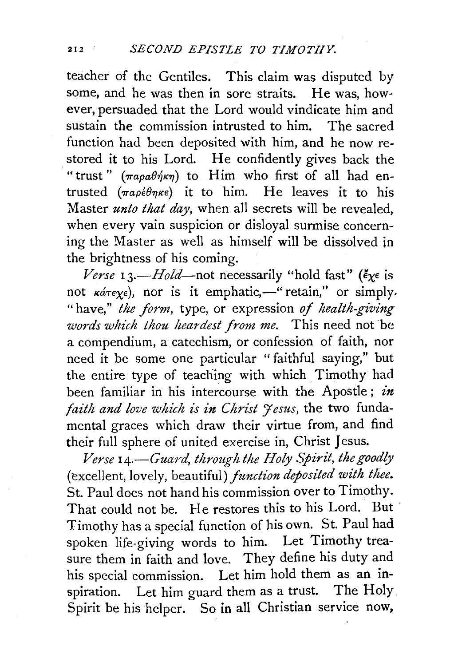teacher of the Gentiles. This claim was disputed by some, and he was then in sore straits. He was, however, persuaded that the Lord would vindicate him and sustain the commission intrusted to him. The sacred function had been deposited with him, and he now restored it to his Lord. He confidently gives back the "trust" ( $\pi a \rho a \theta \dot{\eta} \kappa \eta$ ) to Him who first of all had entrusted  $(\pi a \rho \epsilon \theta \eta \kappa \epsilon)$  it to him. He leaves it to his Master *unto that* day, when all secrets will be revealed, when every vain suspicion or disloyal surmise concerning the Master as well as himself will be dissolved in the brightness of his coming.

*Verse* 13.—*Hold*—not necessarily "hold fast" ( $\epsilon_{X}$  is not  $\kappa$ *are* $\chi$ e), nor is it emphatic,-" retain," or simply. "have," *the form,* type, or expression *of health-giving words which thou heardest from me.* This need not be a compendium, a catechism, or confession of faith, nor need it be some one particular " faithful saying," but the entire type of teaching with which Timothy had been familiar in his intercourse with the Apostle ; *in faith and love which is in Christ 't esus, the two funda*mental graces which draw their virtue from, and find their full sphere of united exercise in, Christ Jesus.

*Verse 14.-Guard, through the Holy Spirit, the goodly*  (excellent, lovely, beautiful) *function deposited with thee.*  St. Paul does not hand his commission over to Timothy. That could not be. He restores this to his Lord. But Timothy has a special function of his own. St. Paul had spoken life-giving words to him. Let Timothy treasure them in faith and love. They define his duty and his special commission. Let him hold them as an inspiration. Let him guard them as a trust. The Holy Spirit be his helper. So in all Christian service now,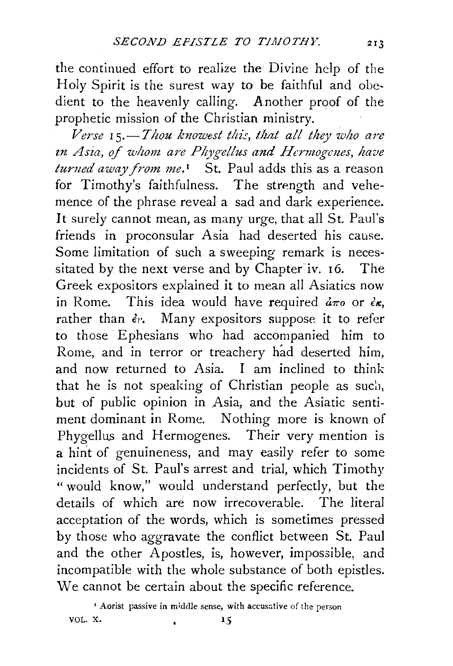the continued effort to realize the Divine help of the Holy Spirit is the surest way to be faithful and obedient to the heavenly calling. Another proof of the prophetic mission of the Christian ministry.

*Verse rs.-Thou knowest this, that all they who are in Asia, of whom are Phygellus and Hermogenes, have turned away from me.*<sup>1</sup> St. Paul adds this as a reason for Timothy's faithfulness. The strength and vehemence of the phrase reveal a sad and dark experience. It surely cannot mean, as many urge, that all St. Paul's friends in proconsular Asia had deserted his cause. Some limitation of such a sweeping remark is necessitated by the next verse and by Chapter iv. 16. The Greek expositors explained it to mean all Asiatics now in Rome. This idea would have required  $d\pi$  or  $\epsilon$ *k*, rather than  $\epsilon_{1}$ . Many expositors suppose it to refer to those Ephesians who had accompanied him to Rome, and in terror or treachery had deserted him, and now returned to Asia. I am inclined to think that he is not speaking of Christian people as such, but of public opinion in Asia, and the Asiatic sentiment dominant in Rome. Nothing more is known of Phygellus and Hermogenes. Their very mention is a hint of genuineness, and may easily refer to some incidents of St. Paul's arrest and trial, which Timothy "would know," would understand perfectly, but the details of which are now irrecoverable. The literal acceptation of the words, which is sometimes pressed by those who aggravate the conflict between St. Paul and the other Apostles, is, however, impossible, and incompatible with the whole substance of both epistles. We cannot be certain about the specific reference.

<sup>&</sup>lt;sup>1</sup> Aorist passive in middle sense, with accusative of the person VOL. X. 15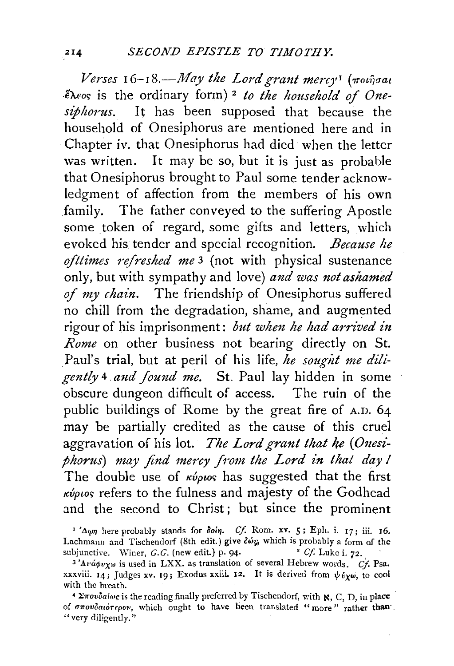*Verses* 16–18.—May the Lord grant mercy<sup>†</sup> (ποιήσαι .€A.fo<; is the ordinary form) 2 *to the household of Onesiphorus.* It has been supposed that because the household of Onesiphorus are mentioned here and in Chapter iv. that Onesiphorus had died when the letter was written. It may be so, but it is just as probable that Onesiphorus brought to Paul some tender acknowledgment of affection from the members of his own family. The father conveyed to the suffering Apostle some token of regard, some gifts and letters, which evoked his tender and special recognition. *Because he ojttimes 7'efreshed me* 3 (not with physical sustenance only, but with sympathy and love) *and was not ashamed*  of *my chain.* The friendship of Onesiphorus suffered no chill from the degradation, shame, and augmented rigour of his imprisonment: *but when he had arrived in Rome* on other business not bearing directly on St. Paul's trial, but at peril of his life, he sought me dili*gently* 4 *a1td found me.* St. Paul lay hidden in some obscure dungeon difficult of access. The ruin of the public buildings of Rome by the great fire of A.D. 64 may be partially credited as the cause of this cruel aggravation of his lot. *The Lord grant that he (Onesiphorus) may find mercy from the Lord in that day I*  The double use of  $\kappa \omega_{\text{plo}}$  has suggested that the first  $\kappa \omega_{\text{p}}$  refers to the fulness and majesty of the Godhead and the second to Christ; but since the prominent

<sup>&</sup>lt;sup>1</sup>' $\Delta \psi \eta$  here probably stands for *doin. Cf.* Rom. xv. 5; Eph. i. 17; iii. 16. Lachmann and Tischendorf (8th edit.) give  $\delta \omega_{\mu}$  which is probably a form of the subjunctive. Winer, G.G. (new edit.) p. 94. subjunctive. Winer, *G.G.* (new edit.) p. 94.

 $3'$ A $\nu$ *á* $\phi\nu\chi\omega$  is used in LXX. as translation of several Hebrew words. *Cf.* Psa. xxxviii. 14; Judges xv. 19; Exodus xxiii. 12. It is derived from  $\psi_{\psi\psi}$  to cool

with the breath.<br><sup>4</sup>  $\Sigma \pi \omega \delta a i \omega s$  is the reading finally preferred by Tischendorf, with  $\aleph$ , C, D, in place of *σπουδαιότερον*, which ought to have been translated "more" rather than "very diligently."